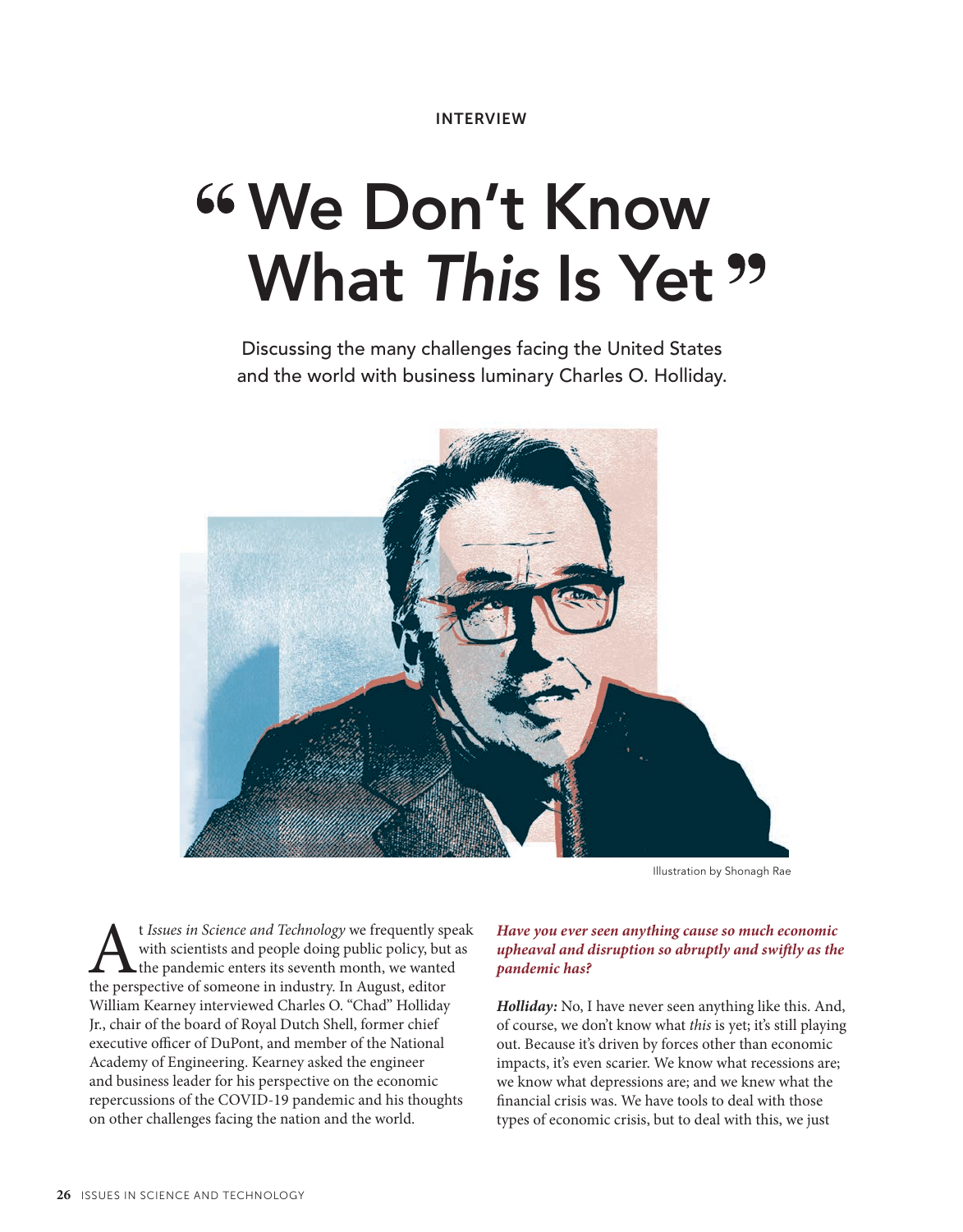# **We Don't Know What** *This* **Is Yet**

Discussing the many challenges facing the United States and the world with business luminary Charles O. Holliday.



Illustration by Shonagh Rae

t *Issues in Science and Technology* we frequently speak with scientists and people doing public policy, but as the pandemic enters its seventh month, we wanted the perspective of someone in industry. In August, editor with scientists and people doing public policy, but as the pandemic enters its seventh month, we wanted the perspective of someone in industry. In August, editor William Kearney interviewed Charles O. "Chad" Holliday Jr., chair of the board of Royal Dutch Shell, former chief executive officer of DuPont, and member of the National Academy of Engineering. Kearney asked the engineer and business leader for his perspective on the economic repercussions of the COVID-19 pandemic and his thoughts on other challenges facing the nation and the world.

### *Have you ever seen anything cause so much economic upheaval and disruption so abruptly and swiftly as the pandemic has?*

*Holliday:* No, I have never seen anything like this. And, of course, we don't know what *this* is yet; it's still playing out. Because it's driven by forces other than economic impacts, it's even scarier. We know what recessions are; we know what depressions are; and we knew what the financial crisis was. We have tools to deal with those types of economic crisis, but to deal with this, we just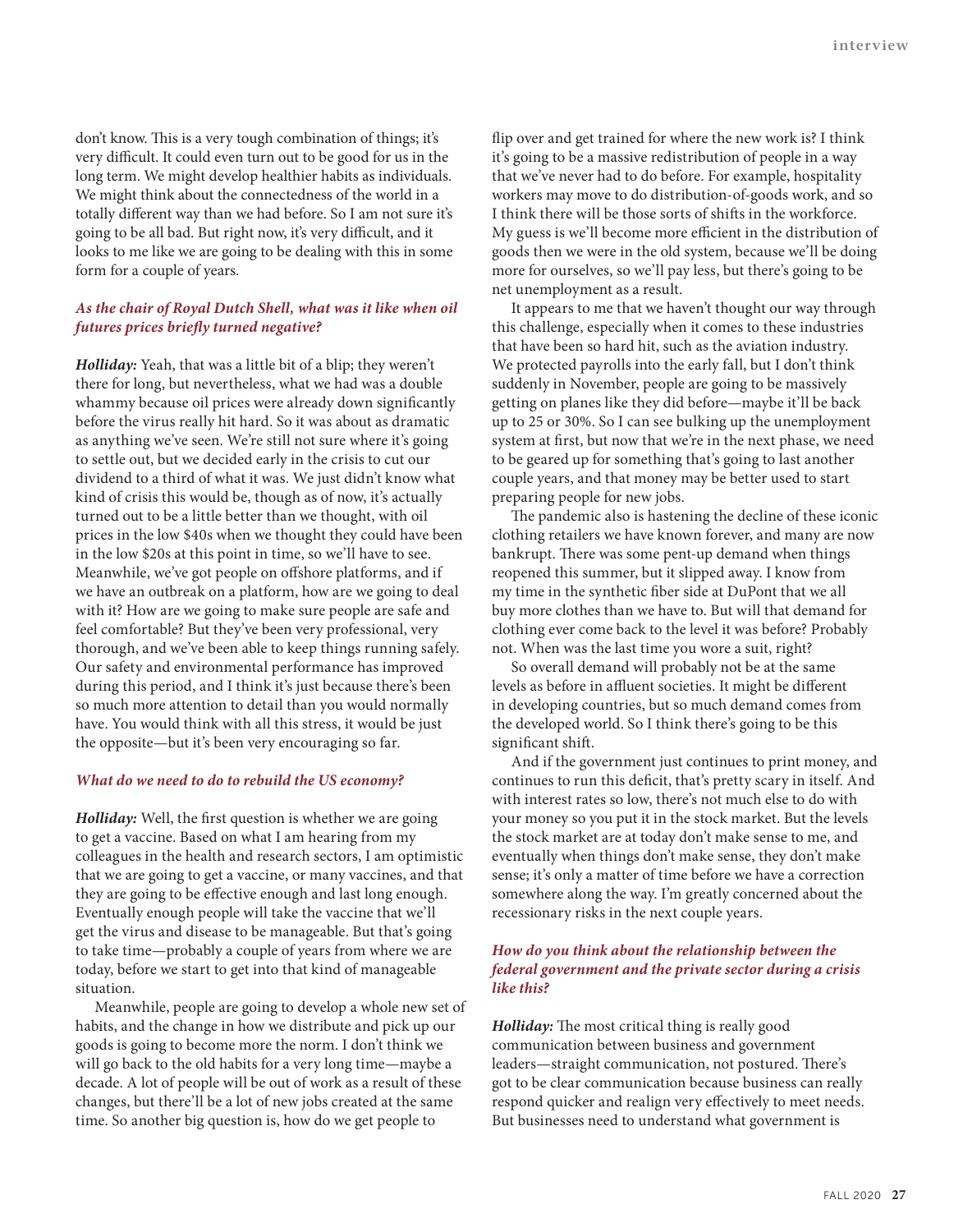don't know. This is a very tough combination of things; it's very difficult. It could even turn out to be good for us in the long term. We might develop healthier habits as individuals. We might think about the connectedness of the world in a totally different way than we had before. So I am not sure it's going to be all bad. But right now, it's very difficult, and it looks to me like we are going to be dealing with this in some form for a couple of years.

# *As the chair of Royal Dutch Shell, what was it like when oil futures prices briefly turned negative?*

*Holliday:* Yeah, that was a little bit of a blip; they weren't there for long, but nevertheless, what we had was a double whammy because oil prices were already down significantly before the virus really hit hard. So it was about as dramatic as anything we've seen. We're still not sure where it's going to settle out, but we decided early in the crisis to cut our dividend to a third of what it was. We just didn't know what kind of crisis this would be, though as of now, it's actually turned out to be a little better than we thought, with oil prices in the low \$40s when we thought they could have been in the low \$20s at this point in time, so we'll have to see. Meanwhile, we've got people on offshore platforms, and if we have an outbreak on a platform, how are we going to deal with it? How are we going to make sure people are safe and feel comfortable? But they've been very professional, very thorough, and we've been able to keep things running safely. Our safety and environmental performance has improved during this period, and I think it's just because there's been so much more attention to detail than you would normally have. You would think with all this stress, it would be just the opposite—but it's been very encouraging so far.

#### *What do we need to do to rebuild the US economy?*

*Holliday:* Well, the first question is whether we are going to get a vaccine. Based on what I am hearing from my colleagues in the health and research sectors, I am optimistic that we are going to get a vaccine, or many vaccines, and that they are going to be effective enough and last long enough. Eventually enough people will take the vaccine that we'll get the virus and disease to be manageable. But that's going to take time—probably a couple of years from where we are today, before we start to get into that kind of manageable situation.

Meanwhile, people are going to develop a whole new set of habits, and the change in how we distribute and pick up our goods is going to become more the norm. I don't think we will go back to the old habits for a very long time—maybe a decade. A lot of people will be out of work as a result of these changes, but there'll be a lot of new jobs created at the same time. So another big question is, how do we get people to

flip over and get trained for where the new work is? I think it's going to be a massive redistribution of people in a way that we've never had to do before. For example, hospitality workers may move to do distribution-of-goods work, and so I think there will be those sorts of shifts in the workforce. My guess is we'll become more efficient in the distribution of goods then we were in the old system, because we'll be doing more for ourselves, so we'll pay less, but there's going to be net unemployment as a result.

It appears to me that we haven't thought our way through this challenge, especially when it comes to these industries that have been so hard hit, such as the aviation industry. We protected payrolls into the early fall, but I don't think suddenly in November, people are going to be massively getting on planes like they did before—maybe it'll be back up to 25 or 30%. So I can see bulking up the unemployment system at first, but now that we're in the next phase, we need to be geared up for something that's going to last another couple years, and that money may be better used to start preparing people for new jobs.

The pandemic also is hastening the decline of these iconic clothing retailers we have known forever, and many are now bankrupt. There was some pent-up demand when things reopened this summer, but it slipped away. I know from my time in the synthetic fiber side at DuPont that we all buy more clothes than we have to. But will that demand for clothing ever come back to the level it was before? Probably not. When was the last time you wore a suit, right?

So overall demand will probably not be at the same levels as before in affluent societies. It might be different in developing countries, but so much demand comes from the developed world. So I think there's going to be this significant shift.

And if the government just continues to print money, and continues to run this deficit, that's pretty scary in itself. And with interest rates so low, there's not much else to do with your money so you put it in the stock market. But the levels the stock market are at today don't make sense to me, and eventually when things don't make sense, they don't make sense; it's only a matter of time before we have a correction somewhere along the way. I'm greatly concerned about the recessionary risks in the next couple years.

#### *How do you think about the relationship between the federal government and the private sector during a crisis like this?*

*Holliday:* The most critical thing is really good communication between business and government leaders—straight communication, not postured. There's got to be clear communication because business can really respond quicker and realign very effectively to meet needs. But businesses need to understand what government is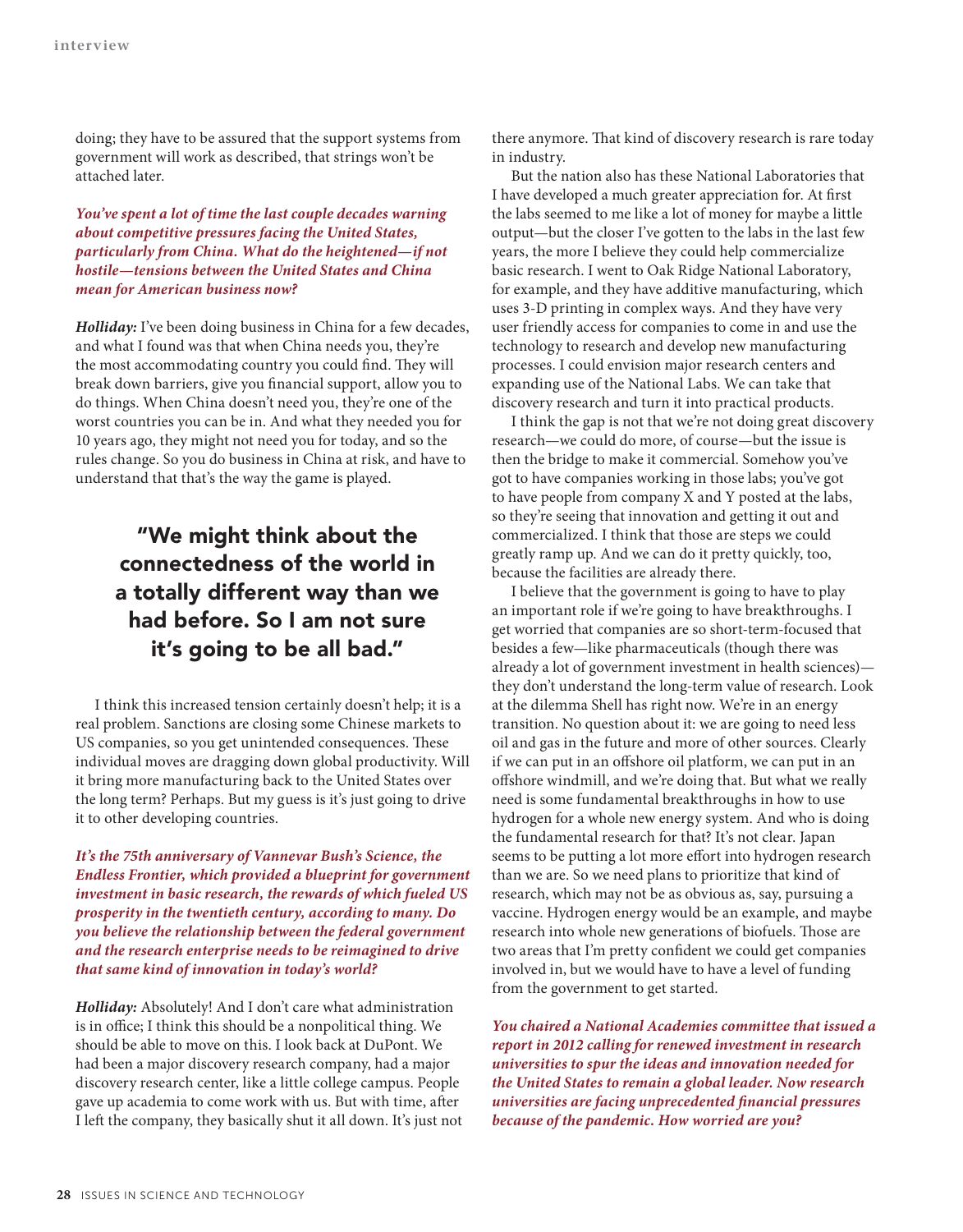doing; they have to be assured that the support systems from government will work as described, that strings won't be attached later.

*You've spent a lot of time the last couple decades warning about competitive pressures facing the United States, particularly from China. What do the heightened—if not hostile—tensions between the United States and China mean for American business now?*

*Holliday:* I've been doing business in China for a few decades, and what I found was that when China needs you, they're the most accommodating country you could find. They will break down barriers, give you financial support, allow you to do things. When China doesn't need you, they're one of the worst countries you can be in. And what they needed you for 10 years ago, they might not need you for today, and so the rules change. So you do business in China at risk, and have to understand that that's the way the game is played.

# "We might think about the connectedness of the world in a totally different way than we had before. So I am not sure it's going to be all bad."

I think this increased tension certainly doesn't help; it is a real problem. Sanctions are closing some Chinese markets to US companies, so you get unintended consequences. These individual moves are dragging down global productivity. Will it bring more manufacturing back to the United States over the long term? Perhaps. But my guess is it's just going to drive it to other developing countries.

*It's the 75th anniversary of Vannevar Bush's Science, the Endless Frontier, which provided a blueprint for government investment in basic research, the rewards of which fueled US prosperity in the twentieth century, according to many. Do you believe the relationship between the federal government and the research enterprise needs to be reimagined to drive that same kind of innovation in today's world?*

*Holliday:* Absolutely! And I don't care what administration is in office; I think this should be a nonpolitical thing. We should be able to move on this. I look back at DuPont. We had been a major discovery research company, had a major discovery research center, like a little college campus. People gave up academia to come work with us. But with time, after I left the company, they basically shut it all down. It's just not there anymore. That kind of discovery research is rare today in industry.

But the nation also has these National Laboratories that I have developed a much greater appreciation for. At first the labs seemed to me like a lot of money for maybe a little output—but the closer I've gotten to the labs in the last few years, the more I believe they could help commercialize basic research. I went to Oak Ridge National Laboratory, for example, and they have additive manufacturing, which uses 3-D printing in complex ways. And they have very user friendly access for companies to come in and use the technology to research and develop new manufacturing processes. I could envision major research centers and expanding use of the National Labs. We can take that discovery research and turn it into practical products.

I think the gap is not that we're not doing great discovery research—we could do more, of course—but the issue is then the bridge to make it commercial. Somehow you've got to have companies working in those labs; you've got to have people from company X and Y posted at the labs, so they're seeing that innovation and getting it out and commercialized. I think that those are steps we could greatly ramp up. And we can do it pretty quickly, too, because the facilities are already there.

I believe that the government is going to have to play an important role if we're going to have breakthroughs. I get worried that companies are so short-term-focused that besides a few—like pharmaceuticals (though there was already a lot of government investment in health sciences) they don't understand the long-term value of research. Look at the dilemma Shell has right now. We're in an energy transition. No question about it: we are going to need less oil and gas in the future and more of other sources. Clearly if we can put in an offshore oil platform, we can put in an offshore windmill, and we're doing that. But what we really need is some fundamental breakthroughs in how to use hydrogen for a whole new energy system. And who is doing the fundamental research for that? It's not clear. Japan seems to be putting a lot more effort into hydrogen research than we are. So we need plans to prioritize that kind of research, which may not be as obvious as, say, pursuing a vaccine. Hydrogen energy would be an example, and maybe research into whole new generations of biofuels. Those are two areas that I'm pretty confident we could get companies involved in, but we would have to have a level of funding from the government to get started.

*You chaired a National Academies committee that issued a report in 2012 calling for renewed investment in research universities to spur the ideas and innovation needed for the United States to remain a global leader. Now research universities are facing unprecedented financial pressures because of the pandemic. How worried are you?*